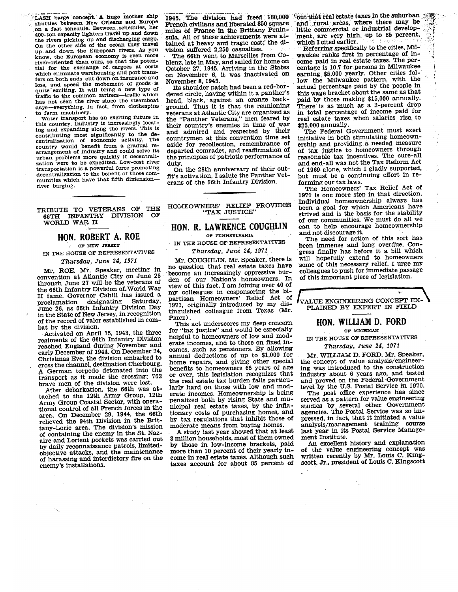ALUE ENGINEERING CONCEPT EX-PLAINED BY EXPERT IN FIELD

# HON. WILLIAM D. FORD

OF MICHIGAN

### IN THE HOUSE OF REPRESENTATIVES

Thursday, June 24. 1971

Mr. WILLIAM D. FORD. Mr. Speaker, the concept of value analysis/engineering was introduced to the construction industry about 6 years ago, and tested and proved on the Federal Government level by the U.S. Postal Service in 1970.

The post office experience has since served as a pattern for value engineering studies by several other Government agencies. The Postal Service was so impressed, in fact, that it initiated a value analysis/management training course last year in its Postal Service Management Institute.

An excellent history and explanation of the value engineering concept was written recently by Mr. Louis C. Kingscott, Jr., president of Louis C. Kingscott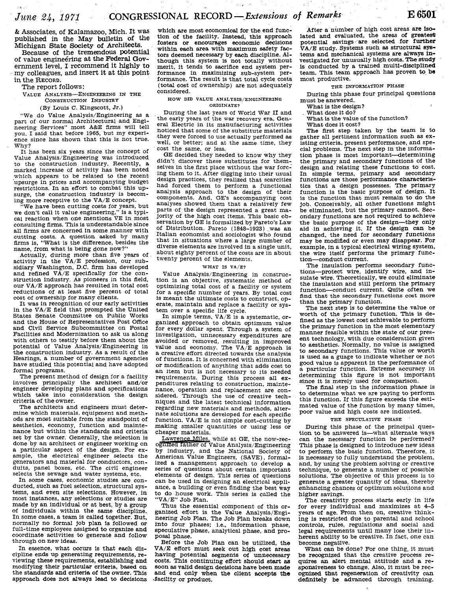& Associates, of Kalamazoo, Mich. It was published in the May bulletin of **the**  Michigan **State** Society of Architects.

Because of the tremendous potential of value engineering at the Federal Government level, **I** recommend it highly to my colleagues, and insert it at this point in the **RECORD**.

### The report follows:

VALUE ANALYSIS-ENGINEERING IN THE

## CONSTRUCTION INDUSTRY

(By Louis C. Kingscott, Jr.)<br>We do Value Analysis/Engineering as a part of our normal Architectural and Engineering Services" most A&E firms will tell you. I said that before 1965, but my experience since has shown that this is not true. Why?

It has been six years since the Concept of Value Analysis/Engineering was introduced<br>to the construction industry. Recently, a marked increase of activity has been noted which appears to be related to the recent -upsurge in prices and accompanying budget restrictions. In an effort to combat this upsurge, the construction industry is becoming more receptive to the VA/E concept.

"We have been cutting costs for years, but we don't call it value engineering," is a typi-cal reaction when one mentions VE in most consulting firms. This is understandable since all firms are concerned in some manner with cutting costs. A question asked by many firms is, "What is the difference, besides the name, from what is being done now?"

Actually, during more than five years of activity in the  $\bar{V}A/E$  profession, our sub-<br>sidiary Washington, D.C. firm has developed and refined  $V\overline{A/E}$  specifically for the construction industry. As pioneers in this field, our  $V\overline{A/E}$  approach has resulted in total cost reductions of at least five percent of total cost of ownership for many clients.

It was in recognition of our early activities in the VA/E field that prompted the United States Senate Committee on Public Works and the House of Representatives Post Office and Civil Service Subcommittee on Postal Facilities and Modernization to ask us along with others to testify before them about the potential of Value Analysis/Engineering in the construction industry. As a result of the Hearings, a number of government agencies have studied this potential and have adopted formal programs.

The present method of design for a facility involves principally the architect and/or engineer developing plans and specifications which take into consideration the design criteria of the owner.

The architects and engineers must determine which materials, equipment and methods are most suitable from the standpoint of aesthetics, economy, function and mainte- nance but within the standards and criteria set by the owner. Generally, the selection is done by an architect or engineer working on a particular aspect of the design. For ex-<br>ample, the electrical engineer selects the generators and material for conductors, conduits, panel boxes, etc. The civil engineer selects the sewage and water systems, etc.<br>In some cases, economic studies are con-

ducted, such as fuel selection, structural systems, and even site selections. However, in most instances, any selections or studies are made by an individual or at best, by a group of individuals within the same discipline. In some cases, a team is called together. But, normally no formal job plan is followed or full-time employees assigned to organize and coordinate activities to genemte and follow through on new ideas.

In essence, what occurs is that each discipline ends up generating requirements, reviewing these requirements, establishing and modifying their particular criteria, based on the standards and criteria of the owner. This approach does not always lead **to** decisions which are most economical for the end function of the facility. Instead, this approach fosters or encourages economic decisions within each area with maximum safety facwithin each area with maximum safety factors deemed necessary by each discipline. Although this system is not totally without merit, it tends to sacrifice end system per- formance in maximizing sub-system performance. The result is that totai cycle costs (total cost of ownership) are not adequately considered.

### HOW DID VALUE ANALYSIS/ENGINEERING ORIGINATE?

During the last years of World War II and the early years of the **war** recovery era, General Electric in its manufacturing activities noticed that some of the substitute materials<br>they were forced to use actually performed as they were forced to use actually perfcrmed as well, or better; and at the same time, they cost the same, or less.

GE decided they needed to know why they didn't discover these substitutes for themselves in the first place without the war forcing them to it. After digging into their usual design practices, they realized that scarcities had forced them to perform a functional analysis approach to the design of their components. And, GE's accompanying cost analyses showed them that a relatively few parts of the design represented a great majority of the high cost items. This basic observation by GE is formalized by Pareto's Law of Distribution. Pareto (1848-1923) was an Italian economist and sociologist who found that in situations where a large number of diverse elements are involved in a single unit, about eighty percent of the costs are in about twenty percent of the elements.

### WHAT IS VA/E?

Value Analysis/Engineering in construction is an objective, systematic method of optimizing total cost of a facility or system for a specific number of years. By total cost is meant the ultimate costs to construct, operate, maintain and replace a facility or system over a specific life cycle.

In simple terms,  $VA/E$  is a systematic, or-<br>ganized approach to obtain optimum value for every dollar spent. Through a system of investigation, unnecessary expenditures are investigation, unnecessary expenditures are avoided or removed, resulting in improved value and economy. The VA/E approach is a creative effort directed towards the analysis of functions. It is concerned with elimination an item but is not necessary to its needed requirements. During this process all ex- penditures relating to construction, maintenance, operation and replacement are con- sidered. Through the use of creative techniques and the latest technical information regarding new materials and methods, alternate solutions are developed for each specific function. VA/E is not simple cost-cutting by making smaller quantities or using less or cheaper materials.

Lawrence Miles, while at GE, the now-rec- ognized father of Value Analysis/Engineering by industry, and the National Society of American Value Engineers, (SAVE), formalized a management approach to develop a series of questions about certain important elements of design. This series of questions can be used in designing an electrical appliance, a building or even finding the best way to do house work. This series is called the "VA/E" Job Plan.<br>Thus the essential component of this or-

ganized effort is the Value Analysis/Engineering Job Plan. The Job Plan breaks down into four phases; i.e., information phase, speculative phase, analytical phase, and proposal phase.

Before the Job Plan can be utilized, the **VA/E** effort must seek out high cost areas having potential segments of unnecessary costs. This continuing effort should &art **as** soon as valid design decisions have been **made**  and end only when the client accepts **tae**  Jacility or product.

After a number of high cost areas are **iso**lated and evaluated, the areas of **greatest**  potential savings are selected for further **VA/E** study. Systems such **as** structural **sys**tems and mechanical systems are always investigated for unusually high costs. The study is conducted by a trained multi-disciplined team. This team approach has proven to be most productive.

### THE INFORMATION PHASE

During this phase four principal questions must be answered.

What is the design?<br>What does it do?

What is the value of the function?

What does it cost?

The first step taken by the team is to gather all pertinent information such as exgather all pertinent information such as ex- isting criteria, present performance, and spe-cial problems. The next step in the information phase is most important--determining the primary and secondary functions of the design and relating these functions to cost. In simple terms, primary and secondary functions are those performance characteristics that a design possesses. The primary function is the basic purpose of design. It is the function that must remain to do the job. Conceivably, all other functions might be eliminated, but the primary cannot. Secondary functions are not required to achieve the basic purpose of the design-they only aid in achieving it. If the design can be changed, the need for secondary functions may be modified or even may disappear. For example, in a typical electrical wiring system, the wire itself performs the primary function—conduct current.

The insulation performs secondary functions-protect wire, identify wire, and insulate wire. Theoretically, we could eliminate the insulation and still perform the primary function-conduct current. Quite often we find that the secondary functions cost more than the primary function.<br>The next step is to determine the value or

worth of the primary function. This is defined as the lowest cost achievable to perform the primary function in the most elementary<br>manner feasible within the state of our pres-<br>ent technology, with due consideration given to aesthetics. Normally, no value is assigned<br>to secondary functions. This value or worth is used as a guage to indicate whether or not good value is apparent in the performance of a particular function. Extreme accuracy in determining this figure is not important since it is merely used for comparison.

The final step in the information phase is to determine what we are paying to perform this function. If this figure exceeds the estimated value of the function by many times, poor value and high costs are indicated.

### THE SPECULATIVE PHASE

During this phase of the principal question to be answered is—what alternate ways can the necessary function be performed? This phase is designed to introduce new ideas to perform the basic function. Therefore, it is necessary to fully understand the problem, and, by using the problem solving or creative technique, to generate a number of possible solutions. The objective of this process is to generate a greater quantity of ideas, thereby enhancing chances of optimum solutions and<br>higher savings.

The creativity process starts early in life for every individual and maximizes at 4-5 years of age. From then on, creative thinking is restricted due to parental and school controls, rules, regulations and social and legal requirements until many lose their inherent ability to be creative. In fact, one can become negative.

What can be done? For one thing, it must<br>be recognized that the creative process requires an alert mental attitude and a re-<br>sponsiveness to change. Also, it must be rec-<br>ognized that regeneration of creativity can<br>definitely be advanced through training.